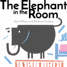# **TheElephant in theRoom**

#### Sam Wilson and Michael Tymbios

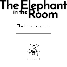## **TheElephant in theRoom**

### This book belongs to

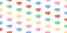

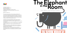

*The Elephant in the Room* Illustrated by Michael Tymbios Written by Sam Wilson Designed by Thomas Pepler and Arthur Attwell with the help of the Book Dash participants in Cape Town on 28 June 2014.

#### ISBN: 978-0-9922357-9-6

This work is licensed under a Creative Commons Attribution 4.0 Licence (http://creativecommons.org/licenses/by/4.0/). You are free to share (copy and redistribute the material in any medium or format) and adapt (remix, transform, and build upon the material) this work for any purpose, even commercially. The licensor cannot revoke these freedoms as long as you follow the following license terms:

Attribution: You must give appropriate credit, provide a link to the license, and indicate if changes were made. You may do so in any reasonable manner, but not in any way that suggests the licensor endorses you or your use.

No additional restrictions: You may not apply legal terms or technological measures that legally restrict others from doing anything the license permits.

Notices: You do not have to comply with the license for elements of the material in the public domain or where your use is permitted by an applicable exception or limitation.

No warranties are given. The license may not give you all of the permissions necessary for your intended use. For example, other rights such as publicity, privacy, or moral rights may limit how you use the material.

### Sam Wilson and Michael Tymbios **Elephant**<br>in the BLA

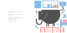One morning, Lindi found an elephant in her room.

"Look!" she called. "There's an elephant in my room!"

"No there isn't," her mother called back. "Elephants don't live in houses. Everybody knows that."

The elephant yawned.

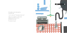At breakfast, Lindi's dad asked her to pass the milk.

"I can't," said Lindi. "The elephant drank it all."

"There isn't an elephant," said her dad. "Elephants don't live in the city. Everybody knows that."

The elephant burped.

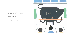At school, the teacher grumbled, "What's wrong with this chalkboard? It's all wrinkly!"

"That's not the chalkboard. That's my elephant!" said Lindi.

"There are no elephants at school," said the teacher. "Everybody knows that."

The elephant ate the teacher's sandwiches.

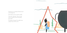At break-time, the elephant followed Lindi to the playground.

He knocked over the swings by mistake.

"Go away!" said Lindi. "You're not real and you shouldn't be here! Everybody knows that!"

The elephant drooped. He walked away, wiping his eyes with his trunk.

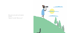After school, Lindi couldn't see the elephant anywhere.

"Elephant!" she called. "Where are you?"

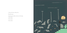Lindi went home without him.

She felt lonely.

So she went outside, and sat on the steps, and waited.

And waited.

And waited.

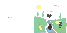And then … she saw a trunk. And tusks. And ears.

The elephant was coming down the road!

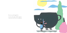She ran up and hugged him.

"I'm sorry," she said. "I didn't mean it! I know you're real. You're my elephant."

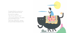The elephant lifted her up and put her on his back, and she rode down the street.

She waved to her neighbours.

"Hello, Mr Green! Hello, Mrs Green!"

"Look at Lindi!" said Mr Green. "How did she get up there? Maybe she grew!"

"Don't be silly," said Mrs Green. "Little girls don't grow that high. Everybody knows that."

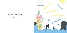The elephant took Lindi to the lake, and she slid down his trunk like it was a slide.

"Wheeeee!" she shrieked.

They played all afternoon, laughing and splashing and spraying each other with water.

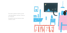That night, the elephant tucked her into bed.

"Good night, Elephant," said Lindi. "Thank you for a lovely day."

He patted her head, and curled up to sleep outside her window.



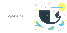"Elephants are the best friends in the world," Lindi said to herself. "Nobody knows that, except for me and my elephant."

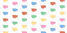